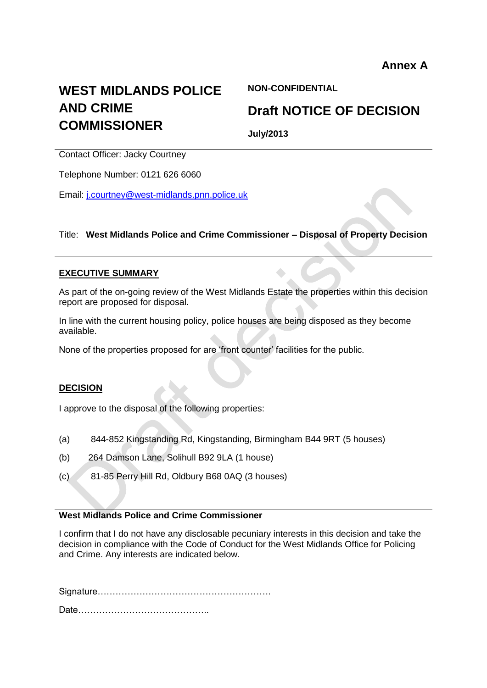# **WEST MIDLANDS POLICE AND CRIME COMMISSIONER**

**NON-CONFIDENTIAL**

# **Draft NOTICE OF DECISION**

**July/2013**

Contact Officer: Jacky Courtney

Telephone Number: 0121 626 6060

Email: [j.courtney@west-midlands.pnn.police.uk](mailto:j.courtney@west-midlands.pnn.police.uk)

#### Title: **West Midlands Police and Crime Commissioner – Disposal of Property Decision**

#### **EXECUTIVE SUMMARY**

As part of the on-going review of the West Midlands Estate the properties within this decision report are proposed for disposal.

In line with the current housing policy, police houses are being disposed as they become available.

None of the properties proposed for are 'front counter' facilities for the public.

#### **DECISION**

I approve to the disposal of the following properties:

- (a) 844-852 Kingstanding Rd, Kingstanding, Birmingham B44 9RT (5 houses)
- (b) 264 Damson Lane, Solihull B92 9LA (1 house)
- (c) 81-85 Perry Hill Rd, Oldbury B68 0AQ (3 houses)

# **West Midlands Police and Crime Commissioner**

I confirm that I do not have any disclosable pecuniary interests in this decision and take the decision in compliance with the Code of Conduct for the West Midlands Office for Policing and Crime. Any interests are indicated below.

Signature………………………………………………….

Date……………………………………..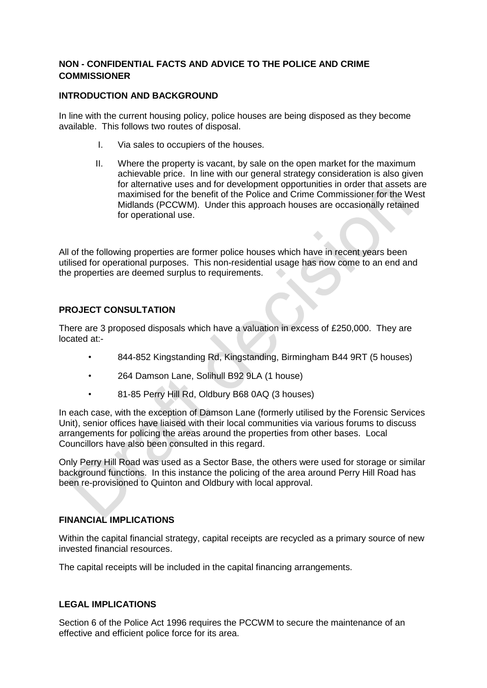## **NON - CONFIDENTIAL FACTS AND ADVICE TO THE POLICE AND CRIME COMMISSIONER**

#### **INTRODUCTION AND BACKGROUND**

In line with the current housing policy, police houses are being disposed as they become available. This follows two routes of disposal.

- I. Via sales to occupiers of the houses.
- II. Where the property is vacant, by sale on the open market for the maximum achievable price. In line with our general strategy consideration is also given for alternative uses and for development opportunities in order that assets are maximised for the benefit of the Police and Crime Commissioner for the West Midlands (PCCWM). Under this approach houses are occasionally retained for operational use.

All of the following properties are former police houses which have in recent years been utilised for operational purposes. This non-residential usage has now come to an end and the properties are deemed surplus to requirements.

## **PROJECT CONSULTATION**

There are 3 proposed disposals which have a valuation in excess of £250,000. They are located at:-

- 844-852 Kingstanding Rd, Kingstanding, Birmingham B44 9RT (5 houses)
- 264 Damson Lane, Solihull B92 9LA (1 house)
- 81-85 Perry Hill Rd, Oldbury B68 0AQ (3 houses)

In each case, with the exception of Damson Lane (formerly utilised by the Forensic Services Unit), senior offices have liaised with their local communities via various forums to discuss arrangements for policing the areas around the properties from other bases. Local Councillors have also been consulted in this regard.

Only Perry Hill Road was used as a Sector Base, the others were used for storage or similar background functions. In this instance the policing of the area around Perry Hill Road has been re-provisioned to Quinton and Oldbury with local approval.

#### **FINANCIAL IMPLICATIONS**

Within the capital financial strategy, capital receipts are recycled as a primary source of new invested financial resources.

The capital receipts will be included in the capital financing arrangements.

#### **LEGAL IMPLICATIONS**

Section 6 of the Police Act 1996 requires the PCCWM to secure the maintenance of an effective and efficient police force for its area.